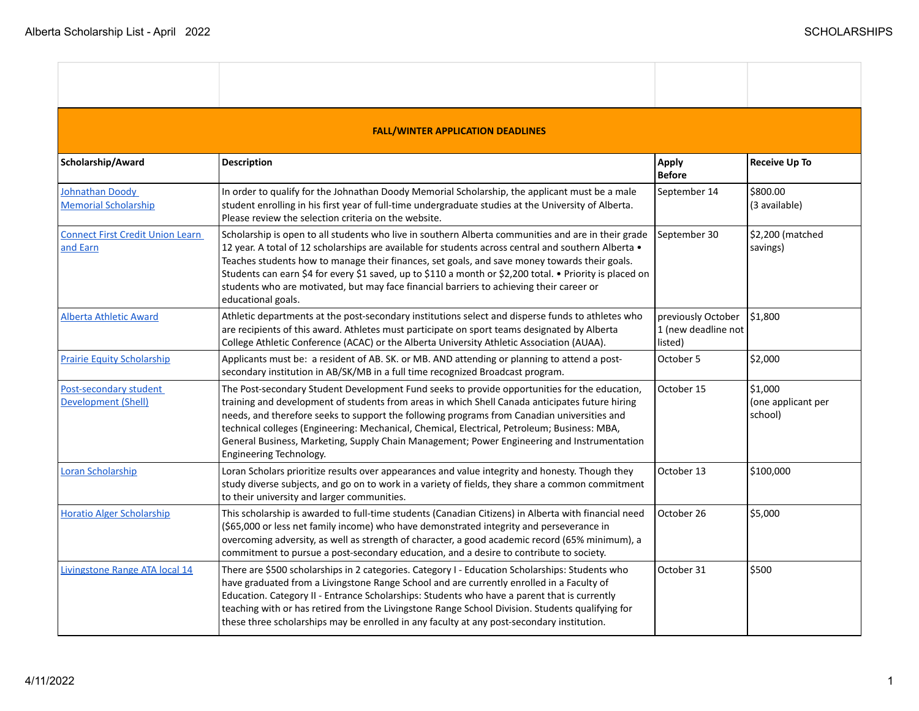| <b>FALL/WINTER APPLICATION DEADLINES</b>            |                                                                                                                                                                                                                                                                                                                                                                                                                                                                                                                                            |                                                      |                                          |
|-----------------------------------------------------|--------------------------------------------------------------------------------------------------------------------------------------------------------------------------------------------------------------------------------------------------------------------------------------------------------------------------------------------------------------------------------------------------------------------------------------------------------------------------------------------------------------------------------------------|------------------------------------------------------|------------------------------------------|
| Scholarship/Award                                   | <b>Description</b>                                                                                                                                                                                                                                                                                                                                                                                                                                                                                                                         | Apply<br><b>Before</b>                               | <b>Receive Up To</b>                     |
| Johnathan Doody<br><b>Memorial Scholarship</b>      | In order to qualify for the Johnathan Doody Memorial Scholarship, the applicant must be a male<br>student enrolling in his first year of full-time undergraduate studies at the University of Alberta.<br>Please review the selection criteria on the website.                                                                                                                                                                                                                                                                             | September 14                                         | \$800.00<br>(3 available)                |
| <b>Connect First Credit Union Learn</b><br>and Earn | Scholarship is open to all students who live in southern Alberta communities and are in their grade<br>12 year. A total of 12 scholarships are available for students across central and southern Alberta .<br>Teaches students how to manage their finances, set goals, and save money towards their goals.<br>Students can earn \$4 for every \$1 saved, up to \$110 a month or \$2,200 total. • Priority is placed on<br>students who are motivated, but may face financial barriers to achieving their career or<br>educational goals. | September 30                                         | \$2,200 (matched<br>savings)             |
| <b>Alberta Athletic Award</b>                       | Athletic departments at the post-secondary institutions select and disperse funds to athletes who<br>are recipients of this award. Athletes must participate on sport teams designated by Alberta<br>College Athletic Conference (ACAC) or the Alberta University Athletic Association (AUAA).                                                                                                                                                                                                                                             | previously October<br>1 (new deadline not<br>listed) | \$1,800                                  |
| <b>Prairie Equity Scholarship</b>                   | Applicants must be: a resident of AB. SK. or MB. AND attending or planning to attend a post-<br>secondary institution in AB/SK/MB in a full time recognized Broadcast program.                                                                                                                                                                                                                                                                                                                                                             | October 5                                            | \$2,000                                  |
| Post-secondary student<br>Development (Shell)       | The Post-secondary Student Development Fund seeks to provide opportunities for the education,<br>training and development of students from areas in which Shell Canada anticipates future hiring<br>needs, and therefore seeks to support the following programs from Canadian universities and<br>technical colleges (Engineering: Mechanical, Chemical, Electrical, Petroleum; Business: MBA,<br>General Business, Marketing, Supply Chain Management; Power Engineering and Instrumentation<br>Engineering Technology.                  | October 15                                           | \$1,000<br>(one applicant per<br>school) |
| Loran Scholarship                                   | Loran Scholars prioritize results over appearances and value integrity and honesty. Though they<br>study diverse subjects, and go on to work in a variety of fields, they share a common commitment<br>to their university and larger communities.                                                                                                                                                                                                                                                                                         | October 13                                           | \$100,000                                |
| <b>Horatio Alger Scholarship</b>                    | This scholarship is awarded to full-time students (Canadian Citizens) in Alberta with financial need<br>(\$65,000 or less net family income) who have demonstrated integrity and perseverance in<br>overcoming adversity, as well as strength of character, a good academic record (65% minimum), a<br>commitment to pursue a post-secondary education, and a desire to contribute to society.                                                                                                                                             | October 26                                           | \$5,000                                  |
| Livingstone Range ATA local 14                      | There are \$500 scholarships in 2 categories. Category I - Education Scholarships: Students who<br>have graduated from a Livingstone Range School and are currently enrolled in a Faculty of<br>Education. Category II - Entrance Scholarships: Students who have a parent that is currently<br>teaching with or has retired from the Livingstone Range School Division. Students qualifying for<br>these three scholarships may be enrolled in any faculty at any post-secondary institution.                                             | October 31                                           | \$500                                    |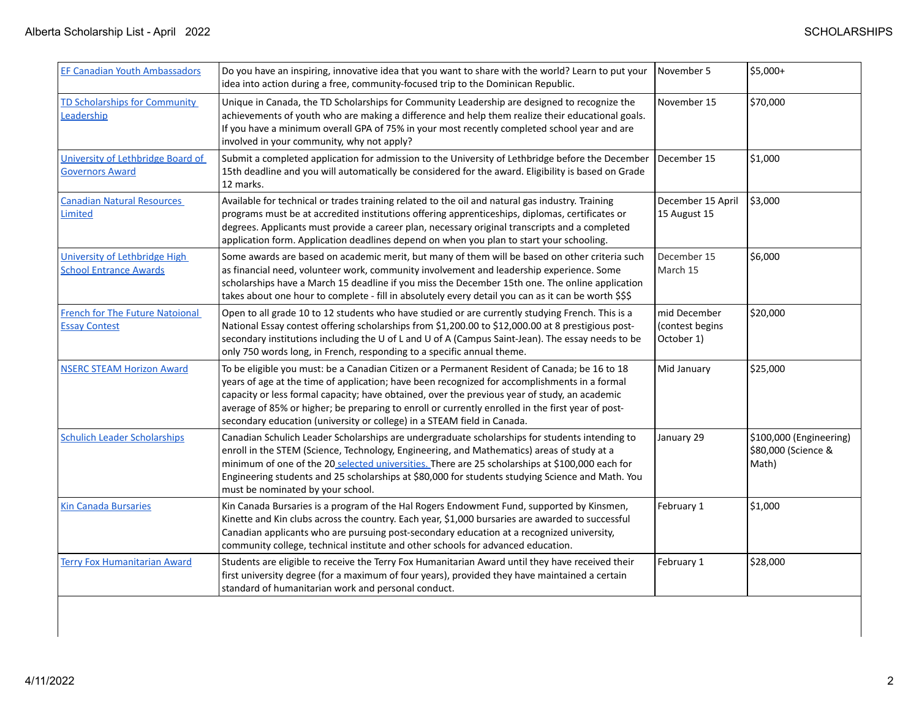| <b>EF Canadian Youth Ambassadors</b>                           | Do you have an inspiring, innovative idea that you want to share with the world? Learn to put your<br>idea into action during a free, community-focused trip to the Dominican Republic.                                                                                                                                                                                                                                                                                         | November 5                                    | \$5,000+                                                |
|----------------------------------------------------------------|---------------------------------------------------------------------------------------------------------------------------------------------------------------------------------------------------------------------------------------------------------------------------------------------------------------------------------------------------------------------------------------------------------------------------------------------------------------------------------|-----------------------------------------------|---------------------------------------------------------|
| <b>TD Scholarships for Community</b><br>Leadership             | Unique in Canada, the TD Scholarships for Community Leadership are designed to recognize the<br>achievements of youth who are making a difference and help them realize their educational goals.<br>If you have a minimum overall GPA of 75% in your most recently completed school year and are<br>involved in your community, why not apply?                                                                                                                                  | November 15                                   | \$70,000                                                |
| University of Lethbridge Board of<br><b>Governors Award</b>    | Submit a completed application for admission to the University of Lethbridge before the December<br>15th deadline and you will automatically be considered for the award. Eligibility is based on Grade<br>12 marks.                                                                                                                                                                                                                                                            | December 15                                   | \$1,000                                                 |
| <b>Canadian Natural Resources</b><br>Limited                   | Available for technical or trades training related to the oil and natural gas industry. Training<br>programs must be at accredited institutions offering apprenticeships, diplomas, certificates or<br>degrees. Applicants must provide a career plan, necessary original transcripts and a completed<br>application form. Application deadlines depend on when you plan to start your schooling.                                                                               | December 15 April<br>15 August 15             | \$3,000                                                 |
| University of Lethbridge High<br><b>School Entrance Awards</b> | Some awards are based on academic merit, but many of them will be based on other criteria such<br>as financial need, volunteer work, community involvement and leadership experience. Some<br>scholarships have a March 15 deadline if you miss the December 15th one. The online application<br>takes about one hour to complete - fill in absolutely every detail you can as it can be worth \$\$\$                                                                           | December 15<br>March 15                       | \$6,000                                                 |
| <b>French for The Future Natoional</b><br><b>Essay Contest</b> | Open to all grade 10 to 12 students who have studied or are currently studying French. This is a<br>National Essay contest offering scholarships from \$1,200.00 to \$12,000.00 at 8 prestigious post-<br>secondary institutions including the U of L and U of A (Campus Saint-Jean). The essay needs to be<br>only 750 words long, in French, responding to a specific annual theme.                                                                                           | mid December<br>(contest begins<br>October 1) | \$20,000                                                |
| <b>NSERC STEAM Horizon Award</b>                               | To be eligible you must: be a Canadian Citizen or a Permanent Resident of Canada; be 16 to 18<br>years of age at the time of application; have been recognized for accomplishments in a formal<br>capacity or less formal capacity; have obtained, over the previous year of study, an academic<br>average of 85% or higher; be preparing to enroll or currently enrolled in the first year of post-<br>secondary education (university or college) in a STEAM field in Canada. | Mid January                                   | \$25,000                                                |
| <b>Schulich Leader Scholarships</b>                            | Canadian Schulich Leader Scholarships are undergraduate scholarships for students intending to<br>enroll in the STEM (Science, Technology, Engineering, and Mathematics) areas of study at a<br>minimum of one of the 20 selected universities. There are 25 scholarships at \$100,000 each for<br>Engineering students and 25 scholarships at \$80,000 for students studying Science and Math. You<br>must be nominated by your school.                                        | January 29                                    | \$100,000 (Engineering)<br>\$80,000 (Science &<br>Math) |
| <b>Kin Canada Bursaries</b>                                    | Kin Canada Bursaries is a program of the Hal Rogers Endowment Fund, supported by Kinsmen,<br>Kinette and Kin clubs across the country. Each year, \$1,000 bursaries are awarded to successful<br>Canadian applicants who are pursuing post-secondary education at a recognized university,<br>community college, technical institute and other schools for advanced education.                                                                                                  | February 1                                    | \$1,000                                                 |
| <b>Terry Fox Humanitarian Award</b>                            | Students are eligible to receive the Terry Fox Humanitarian Award until they have received their<br>first university degree (for a maximum of four years), provided they have maintained a certain<br>standard of humanitarian work and personal conduct.                                                                                                                                                                                                                       | February 1                                    | \$28,000                                                |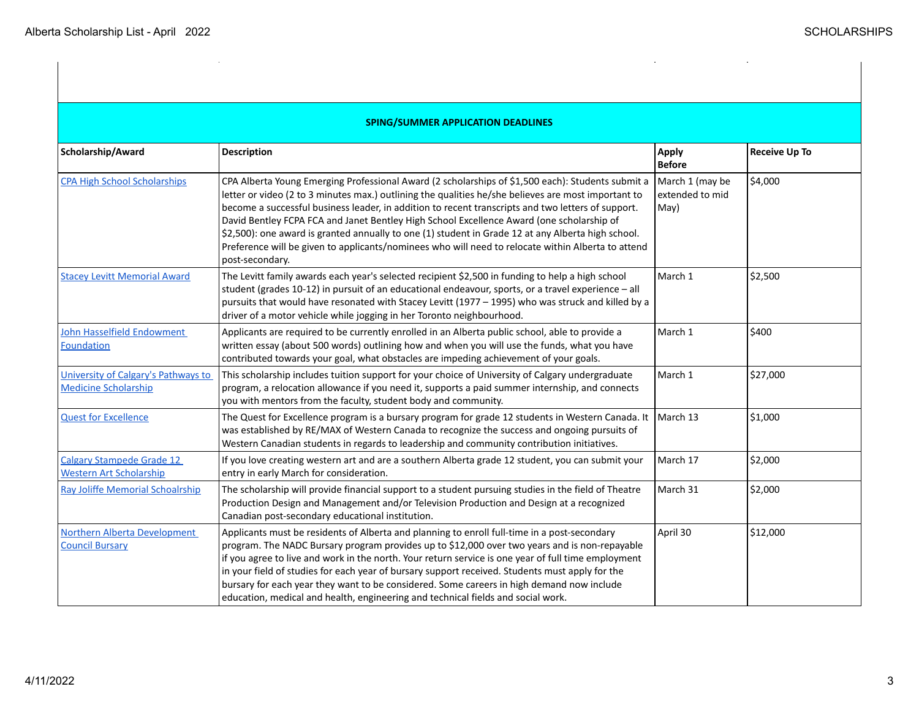$\hat{\mathcal{A}}$ 

 $\mathcal{A}^{\mathcal{A}}$ 

 $\mathcal{L}$ 

| <b>SPING/SUMMER APPLICATION DEADLINES</b>                          |                                                                                                                                                                                                                                                                                                                                                                                                                                                                                                                                                                                                                                            |                                            |                      |
|--------------------------------------------------------------------|--------------------------------------------------------------------------------------------------------------------------------------------------------------------------------------------------------------------------------------------------------------------------------------------------------------------------------------------------------------------------------------------------------------------------------------------------------------------------------------------------------------------------------------------------------------------------------------------------------------------------------------------|--------------------------------------------|----------------------|
| Scholarship/Award                                                  | Description                                                                                                                                                                                                                                                                                                                                                                                                                                                                                                                                                                                                                                | <b>Apply</b><br><b>Before</b>              | <b>Receive Up To</b> |
| <b>CPA High School Scholarships</b>                                | CPA Alberta Young Emerging Professional Award (2 scholarships of \$1,500 each): Students submit a<br>letter or video (2 to 3 minutes max.) outlining the qualities he/she believes are most important to<br>become a successful business leader, in addition to recent transcripts and two letters of support.<br>David Bentley FCPA FCA and Janet Bentley High School Excellence Award (one scholarship of<br>\$2,500): one award is granted annually to one (1) student in Grade 12 at any Alberta high school.<br>Preference will be given to applicants/nominees who will need to relocate within Alberta to attend<br>post-secondary. | March 1 (may be<br>extended to mid<br>May) | \$4,000              |
| <b>Stacey Levitt Memorial Award</b>                                | The Levitt family awards each year's selected recipient \$2,500 in funding to help a high school<br>student (grades 10-12) in pursuit of an educational endeavour, sports, or a travel experience - all<br>pursuits that would have resonated with Stacey Levitt (1977 - 1995) who was struck and killed by a<br>driver of a motor vehicle while jogging in her Toronto neighbourhood.                                                                                                                                                                                                                                                     | March 1                                    | \$2,500              |
| John Hasselfield Endowment<br>Foundation                           | Applicants are required to be currently enrolled in an Alberta public school, able to provide a<br>written essay (about 500 words) outlining how and when you will use the funds, what you have<br>contributed towards your goal, what obstacles are impeding achievement of your goals.                                                                                                                                                                                                                                                                                                                                                   | March 1                                    | \$400                |
| University of Calgary's Pathways to<br><b>Medicine Scholarship</b> | This scholarship includes tuition support for your choice of University of Calgary undergraduate<br>program, a relocation allowance if you need it, supports a paid summer internship, and connects<br>you with mentors from the faculty, student body and community.                                                                                                                                                                                                                                                                                                                                                                      | March 1                                    | \$27,000             |
| <b>Quest for Excellence</b>                                        | The Quest for Excellence program is a bursary program for grade 12 students in Western Canada. It<br>was established by RE/MAX of Western Canada to recognize the success and ongoing pursuits of<br>Western Canadian students in regards to leadership and community contribution initiatives.                                                                                                                                                                                                                                                                                                                                            | March 13                                   | \$1,000              |
| <b>Calgary Stampede Grade 12</b><br><b>Western Art Scholarship</b> | If you love creating western art and are a southern Alberta grade 12 student, you can submit your<br>entry in early March for consideration.                                                                                                                                                                                                                                                                                                                                                                                                                                                                                               | March 17                                   | \$2,000              |
| <b>Ray Joliffe Memorial Schoalrship</b>                            | The scholarship will provide financial support to a student pursuing studies in the field of Theatre<br>Production Design and Management and/or Television Production and Design at a recognized<br>Canadian post-secondary educational institution.                                                                                                                                                                                                                                                                                                                                                                                       | March 31                                   | \$2,000              |
| Northern Alberta Development<br><b>Council Bursary</b>             | Applicants must be residents of Alberta and planning to enroll full-time in a post-secondary<br>program. The NADC Bursary program provides up to \$12,000 over two years and is non-repayable<br>if you agree to live and work in the north. Your return service is one year of full time employment<br>in your field of studies for each year of bursary support received. Students must apply for the<br>bursary for each year they want to be considered. Some careers in high demand now include<br>education, medical and health, engineering and technical fields and social work.                                                   | April 30                                   | \$12,000             |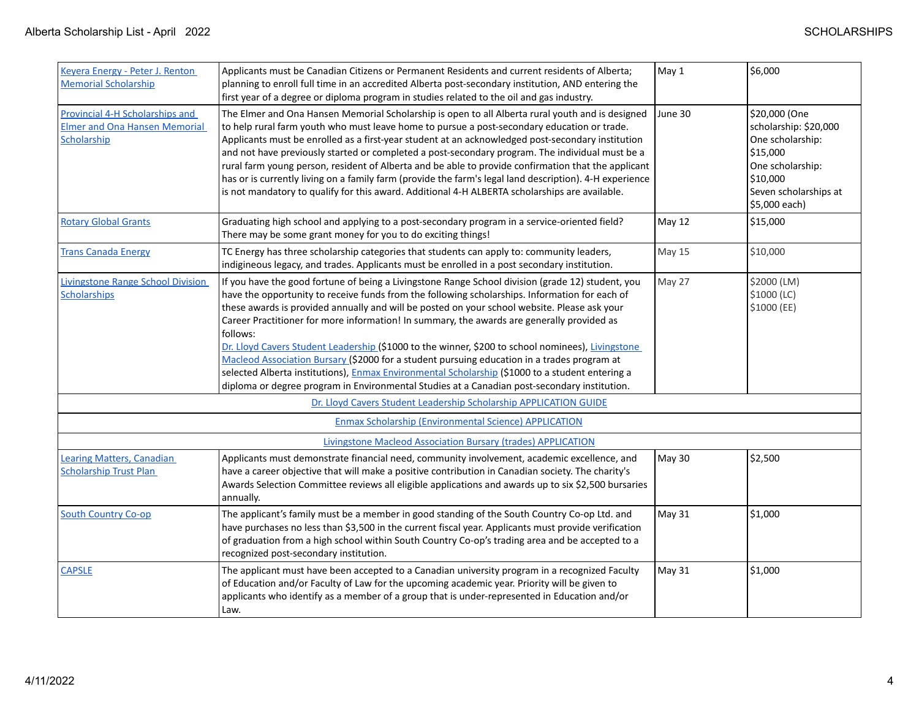| Keyera Energy - Peter J. Renton<br><b>Memorial Scholarship</b>                         | Applicants must be Canadian Citizens or Permanent Residents and current residents of Alberta;<br>planning to enroll full time in an accredited Alberta post-secondary institution, AND entering the<br>first year of a degree or diploma program in studies related to the oil and gas industry.                                                                                                                                                                                                                                                                                                                                                                                                                                                                                                                     | May 1   | \$6,000                                                                                                                                           |
|----------------------------------------------------------------------------------------|----------------------------------------------------------------------------------------------------------------------------------------------------------------------------------------------------------------------------------------------------------------------------------------------------------------------------------------------------------------------------------------------------------------------------------------------------------------------------------------------------------------------------------------------------------------------------------------------------------------------------------------------------------------------------------------------------------------------------------------------------------------------------------------------------------------------|---------|---------------------------------------------------------------------------------------------------------------------------------------------------|
| Provincial 4-H Scholarships and<br><b>Elmer and Ona Hansen Memorial</b><br>Scholarship | The Elmer and Ona Hansen Memorial Scholarship is open to all Alberta rural youth and is designed<br>to help rural farm youth who must leave home to pursue a post-secondary education or trade.<br>Applicants must be enrolled as a first-year student at an acknowledged post-secondary institution<br>and not have previously started or completed a post-secondary program. The individual must be a<br>rural farm young person, resident of Alberta and be able to provide confirmation that the applicant<br>has or is currently living on a family farm (provide the farm's legal land description). 4-H experience<br>is not mandatory to qualify for this award. Additional 4-H ALBERTA scholarships are available.                                                                                          | June 30 | \$20,000 (One<br>scholarship: \$20,000<br>One scholarship:<br>\$15,000<br>One scholarship:<br> \$10,000<br>Seven scholarships at<br>\$5,000 each) |
| <b>Rotary Global Grants</b>                                                            | Graduating high school and applying to a post-secondary program in a service-oriented field?<br>There may be some grant money for you to do exciting things!                                                                                                                                                                                                                                                                                                                                                                                                                                                                                                                                                                                                                                                         | May 12  | \$15,000                                                                                                                                          |
| <b>Trans Canada Energy</b>                                                             | TC Energy has three scholarship categories that students can apply to: community leaders,<br>indigineous legacy, and trades. Applicants must be enrolled in a post secondary institution.                                                                                                                                                                                                                                                                                                                                                                                                                                                                                                                                                                                                                            | May 15  | \$10,000                                                                                                                                          |
| <b>Livingstone Range School Division</b><br>Scholarships                               | If you have the good fortune of being a Livingstone Range School division (grade 12) student, you<br>have the opportunity to receive funds from the following scholarships. Information for each of<br>these awards is provided annually and will be posted on your school website. Please ask your<br>Career Practitioner for more information! In summary, the awards are generally provided as<br>follows:<br>Dr. Lloyd Cavers Student Leadership (\$1000 to the winner, \$200 to school nominees), Livingstone<br>Macleod Association Bursary (\$2000 for a student pursuing education in a trades program at<br>selected Alberta institutions), Enmax Environmental Scholarship (\$1000 to a student entering a<br>diploma or degree program in Environmental Studies at a Canadian post-secondary institution. | May 27  | \$2000 (LM)<br>\$1000 (LC)<br>\$1000 (EE)                                                                                                         |
|                                                                                        | Dr. Lloyd Cavers Student Leadership Scholarship APPLICATION GUIDE                                                                                                                                                                                                                                                                                                                                                                                                                                                                                                                                                                                                                                                                                                                                                    |         |                                                                                                                                                   |
|                                                                                        | <b>Enmax Scholarship (Environmental Science) APPLICATION</b>                                                                                                                                                                                                                                                                                                                                                                                                                                                                                                                                                                                                                                                                                                                                                         |         |                                                                                                                                                   |
|                                                                                        | Livingstone Macleod Association Bursary (trades) APPLICATION                                                                                                                                                                                                                                                                                                                                                                                                                                                                                                                                                                                                                                                                                                                                                         |         |                                                                                                                                                   |
| Learing Matters, Canadian<br><b>Scholarship Trust Plan</b>                             | Applicants must demonstrate financial need, community involvement, academic excellence, and<br>have a career objective that will make a positive contribution in Canadian society. The charity's<br>Awards Selection Committee reviews all eligible applications and awards up to six \$2,500 bursaries<br>annually.                                                                                                                                                                                                                                                                                                                                                                                                                                                                                                 | May 30  | \$2,500                                                                                                                                           |
| <b>South Country Co-op</b>                                                             | The applicant's family must be a member in good standing of the South Country Co-op Ltd. and<br>have purchases no less than \$3,500 in the current fiscal year. Applicants must provide verification<br>of graduation from a high school within South Country Co-op's trading area and be accepted to a<br>recognized post-secondary institution.                                                                                                                                                                                                                                                                                                                                                                                                                                                                    | May 31  | \$1,000                                                                                                                                           |
| <b>CAPSLE</b>                                                                          | The applicant must have been accepted to a Canadian university program in a recognized Faculty<br>of Education and/or Faculty of Law for the upcoming academic year. Priority will be given to<br>applicants who identify as a member of a group that is under-represented in Education and/or<br>Law.                                                                                                                                                                                                                                                                                                                                                                                                                                                                                                               | May 31  | \$1,000                                                                                                                                           |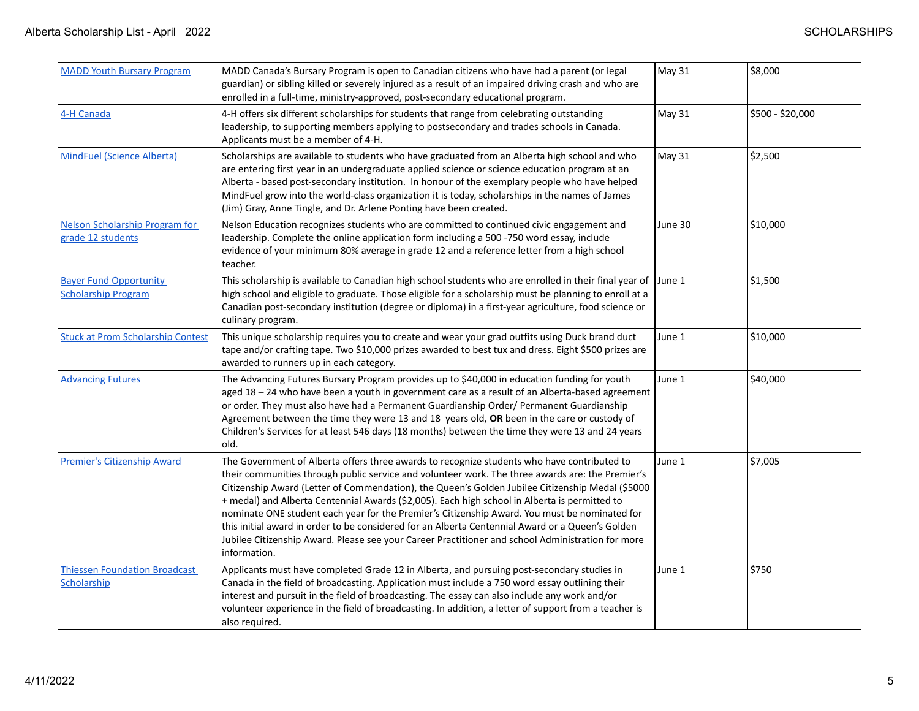| <b>MADD Youth Bursary Program</b>                           | MADD Canada's Bursary Program is open to Canadian citizens who have had a parent (or legal<br>guardian) or sibling killed or severely injured as a result of an impaired driving crash and who are<br>enrolled in a full-time, ministry-approved, post-secondary educational program.                                                                                                                                                                                                                                                                                                                                                                                                                                          | <b>May 31</b> | \$8,000          |
|-------------------------------------------------------------|--------------------------------------------------------------------------------------------------------------------------------------------------------------------------------------------------------------------------------------------------------------------------------------------------------------------------------------------------------------------------------------------------------------------------------------------------------------------------------------------------------------------------------------------------------------------------------------------------------------------------------------------------------------------------------------------------------------------------------|---------------|------------------|
| 4-H Canada                                                  | 4-H offers six different scholarships for students that range from celebrating outstanding<br>leadership, to supporting members applying to postsecondary and trades schools in Canada.<br>Applicants must be a member of 4-H.                                                                                                                                                                                                                                                                                                                                                                                                                                                                                                 | May 31        | \$500 - \$20,000 |
| <b>MindFuel (Science Alberta)</b>                           | Scholarships are available to students who have graduated from an Alberta high school and who<br>are entering first year in an undergraduate applied science or science education program at an<br>Alberta - based post-secondary institution. In honour of the exemplary people who have helped<br>MindFuel grow into the world-class organization it is today, scholarships in the names of James<br>(Jim) Gray, Anne Tingle, and Dr. Arlene Ponting have been created.                                                                                                                                                                                                                                                      | <b>May 31</b> | \$2,500          |
| Nelson Scholarship Program for<br>grade 12 students         | Nelson Education recognizes students who are committed to continued civic engagement and<br>leadership. Complete the online application form including a 500 -750 word essay, include<br>evidence of your minimum 80% average in grade 12 and a reference letter from a high school<br>teacher.                                                                                                                                                                                                                                                                                                                                                                                                                                | June 30       | \$10,000         |
| <b>Bayer Fund Opportunity</b><br><b>Scholarship Program</b> | This scholarship is available to Canadian high school students who are enrolled in their final year of<br>high school and eligible to graduate. Those eligible for a scholarship must be planning to enroll at a<br>Canadian post-secondary institution (degree or diploma) in a first-year agriculture, food science or<br>culinary program.                                                                                                                                                                                                                                                                                                                                                                                  | June 1        | \$1,500          |
| <b>Stuck at Prom Scholarship Contest</b>                    | This unique scholarship requires you to create and wear your grad outfits using Duck brand duct<br>tape and/or crafting tape. Two \$10,000 prizes awarded to best tux and dress. Eight \$500 prizes are<br>awarded to runners up in each category.                                                                                                                                                                                                                                                                                                                                                                                                                                                                             | June 1        | \$10,000         |
| <b>Advancing Futures</b>                                    | The Advancing Futures Bursary Program provides up to \$40,000 in education funding for youth<br>aged 18 - 24 who have been a youth in government care as a result of an Alberta-based agreement<br>or order. They must also have had a Permanent Guardianship Order/ Permanent Guardianship<br>Agreement between the time they were 13 and 18 years old, OR been in the care or custody of<br>Children's Services for at least 546 days (18 months) between the time they were 13 and 24 years<br>old.                                                                                                                                                                                                                         | June 1        | \$40,000         |
| <b>Premier's Citizenship Award</b>                          | The Government of Alberta offers three awards to recognize students who have contributed to<br>their communities through public service and volunteer work. The three awards are: the Premier's<br>Citizenship Award (Letter of Commendation), the Queen's Golden Jubilee Citizenship Medal (\$5000<br>+ medal) and Alberta Centennial Awards (\$2,005). Each high school in Alberta is permitted to<br>nominate ONE student each year for the Premier's Citizenship Award. You must be nominated for<br>this initial award in order to be considered for an Alberta Centennial Award or a Queen's Golden<br>Jubilee Citizenship Award. Please see your Career Practitioner and school Administration for more<br>information. | June 1        | \$7,005          |
| <b>Thiessen Foundation Broadcast</b><br>Scholarship         | Applicants must have completed Grade 12 in Alberta, and pursuing post-secondary studies in<br>Canada in the field of broadcasting. Application must include a 750 word essay outlining their<br>interest and pursuit in the field of broadcasting. The essay can also include any work and/or<br>volunteer experience in the field of broadcasting. In addition, a letter of support from a teacher is<br>also required.                                                                                                                                                                                                                                                                                                       | June 1        | \$750            |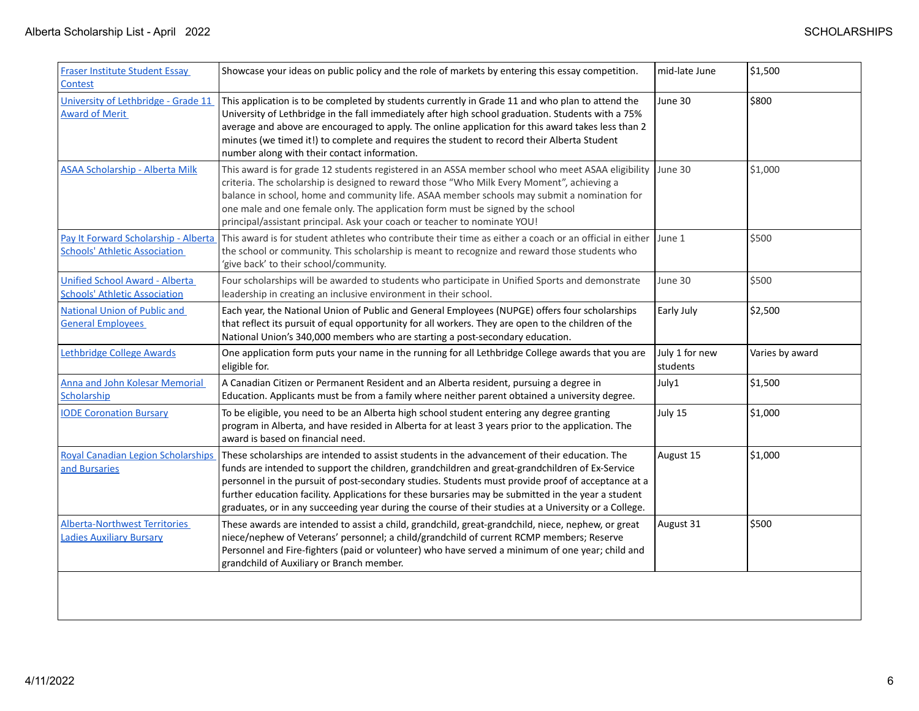| <b>Fraser Institute Student Essay</b><br><b>Contest</b>                      | Showcase your ideas on public policy and the role of markets by entering this essay competition.                                                                                                                                                                                                                                                                                                                                                                                                                       | mid-late June              | \$1,500         |
|------------------------------------------------------------------------------|------------------------------------------------------------------------------------------------------------------------------------------------------------------------------------------------------------------------------------------------------------------------------------------------------------------------------------------------------------------------------------------------------------------------------------------------------------------------------------------------------------------------|----------------------------|-----------------|
| University of Lethbridge - Grade 11<br><b>Award of Merit</b>                 | This application is to be completed by students currently in Grade 11 and who plan to attend the<br>University of Lethbridge in the fall immediately after high school graduation. Students with a 75%<br>average and above are encouraged to apply. The online application for this award takes less than 2<br>minutes (we timed it!) to complete and requires the student to record their Alberta Student<br>number along with their contact information.                                                            | June 30                    | \$800           |
| ASAA Scholarship - Alberta Milk                                              | This award is for grade 12 students registered in an ASSA member school who meet ASAA eligibility<br>criteria. The scholarship is designed to reward those "Who Milk Every Moment", achieving a<br>balance in school, home and community life. ASAA member schools may submit a nomination for<br>one male and one female only. The application form must be signed by the school<br>principal/assistant principal. Ask your coach or teacher to nominate YOU!                                                         | June 30                    | \$1,000         |
| Pay It Forward Scholarship - Alberta<br><b>Schools' Athletic Association</b> | This award is for student athletes who contribute their time as either a coach or an official in either<br>the school or community. This scholarship is meant to recognize and reward those students who<br>'give back' to their school/community.                                                                                                                                                                                                                                                                     | June 1                     | \$500           |
| Unified School Award - Alberta<br><b>Schools' Athletic Association</b>       | Four scholarships will be awarded to students who participate in Unified Sports and demonstrate<br>leadership in creating an inclusive environment in their school.                                                                                                                                                                                                                                                                                                                                                    | June 30                    | \$500           |
| <b>National Union of Public and</b><br><b>General Employees</b>              | Each year, the National Union of Public and General Employees (NUPGE) offers four scholarships<br>that reflect its pursuit of equal opportunity for all workers. They are open to the children of the<br>National Union's 340,000 members who are starting a post-secondary education.                                                                                                                                                                                                                                 | Early July                 | \$2,500         |
| Lethbridge College Awards                                                    | One application form puts your name in the running for all Lethbridge College awards that you are<br>eligible for.                                                                                                                                                                                                                                                                                                                                                                                                     | July 1 for new<br>students | Varies by award |
| <b>Anna and John Kolesar Memorial</b><br>Scholarship                         | A Canadian Citizen or Permanent Resident and an Alberta resident, pursuing a degree in<br>Education. Applicants must be from a family where neither parent obtained a university degree.                                                                                                                                                                                                                                                                                                                               | July1                      | \$1,500         |
| <b>IODE Coronation Bursary</b>                                               | To be eligible, you need to be an Alberta high school student entering any degree granting<br>program in Alberta, and have resided in Alberta for at least 3 years prior to the application. The<br>award is based on financial need.                                                                                                                                                                                                                                                                                  | July 15                    | \$1,000         |
| <b>Royal Canadian Legion Scholarships</b><br>and Bursaries                   | These scholarships are intended to assist students in the advancement of their education. The<br>funds are intended to support the children, grandchildren and great-grandchildren of Ex-Service<br>personnel in the pursuit of post-secondary studies. Students must provide proof of acceptance at a<br>further education facility. Applications for these bursaries may be submitted in the year a student<br>graduates, or in any succeeding year during the course of their studies at a University or a College. | August 15                  | 51,000          |
| <b>Alberta-Northwest Territories</b><br><b>Ladies Auxiliary Bursary</b>      | These awards are intended to assist a child, grandchild, great-grandchild, niece, nephew, or great<br>niece/nephew of Veterans' personnel; a child/grandchild of current RCMP members; Reserve<br>Personnel and Fire-fighters (paid or volunteer) who have served a minimum of one year; child and<br>grandchild of Auxiliary or Branch member.                                                                                                                                                                        | August 31                  | \$500           |
|                                                                              |                                                                                                                                                                                                                                                                                                                                                                                                                                                                                                                        |                            |                 |